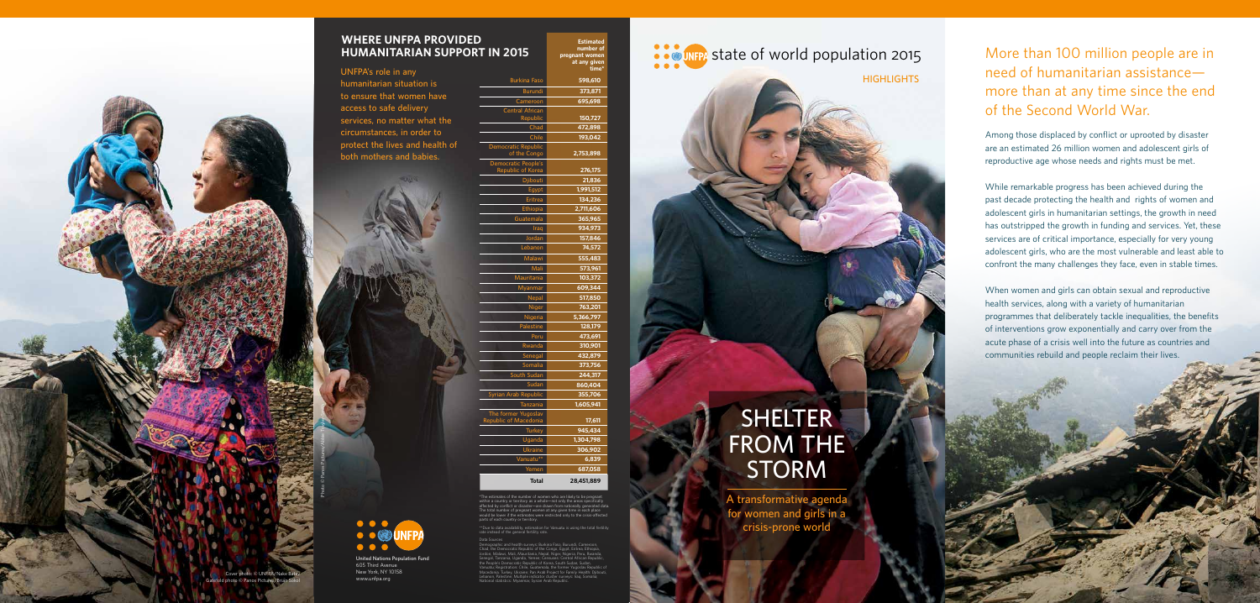### **UNFPA's role in any humanitarian situation is to ensure that women have access to safe delivery services, no matter what the circumstances, in order to protect the lives and health of both mothers and babies.**

# **SHELTER FROM THE STORM**

**A transformative agenda for women and girls in a crisis-prone world**

**HIGHLIGHTS**



**United Nations Population Fund** 605 Third Avenue New York, NY 10158

www.unfpa.org

# STR STATE of world population 2015

**Estimated number of pregnant women at any given** 

| <b>Burkina Faso</b><br>598,610<br><b>Burundi</b><br>373.871 |  |
|-------------------------------------------------------------|--|
|                                                             |  |
|                                                             |  |
| Cameroon<br>695,698                                         |  |
| <b>Central African</b><br>150,727<br>Republic               |  |
| Chad<br>472,898                                             |  |
| Chile<br>193,042                                            |  |
| <b>Democratic Republic</b><br>of the Congo<br>2,753,898     |  |
| Democratic People's<br>Republic of Korea<br>276,175         |  |
| Djibouti<br>21,836                                          |  |
| 1,991,512<br>Egypt                                          |  |
| 134,236<br><b>Eritrea</b>                                   |  |
| 2,711,606<br>Ethiopia                                       |  |
| 365,965<br>Guatemala                                        |  |
| Iraq<br>934,973                                             |  |
| Jordan<br>157,846                                           |  |
| 74,572<br>Lebanon                                           |  |
| Malawi<br>555,483                                           |  |
| 573,961<br>Mali                                             |  |
| Mauritania<br>103,372                                       |  |
| 609,344<br>Myanmar                                          |  |
| Nepal<br>517,850                                            |  |
| 763,201<br><b>Niger</b>                                     |  |
| Nigeria<br>5,366,797                                        |  |
| Palestine<br>128,179                                        |  |
| 473,691<br>Peru                                             |  |
| 310,901<br>Rwanda                                           |  |
| 432,879<br>Senegal                                          |  |
| Somalia<br>373,756                                          |  |
| South Sudan<br>244,317                                      |  |
| Sudan<br>860,404                                            |  |
| Syrian Arab Republic<br>355,706                             |  |
| 1,605,941<br><b>Tanzania</b>                                |  |
| The former Yugoslav<br>Republic of Macedonia<br>17,611      |  |
| 945,434<br><b>Turkey</b>                                    |  |
| Uganda<br>1,304,798                                         |  |
| 306,902<br><b>Ukraine</b>                                   |  |
| Vanuatu**<br>6,839                                          |  |
| Yemen<br>687,058                                            |  |
| 28.451.889<br><b>Total</b>                                  |  |

\*The estimates of the number of women who are likely to be pregnant within a country or territory as a whole—not only the areas specifically affected by conflict or disaster—are drawn from nationally generated data. The total number of pregnant women at any given time in each place would be lower if the estimates were restricted only to the crisis-affected parts of each country or territory.

\*\*Due to data availability, estimation for Vanuatu is using the total fertility rate instead of the general fertility rate.

Data Sources

Demographic and health surveys: Burkina Faso, Burundi, Cameroon, Chad, the Democratic Republic of the Congo, Egypt, Eritrea, Ethiopia, Jordon, Malawi, Mali, Mauritania, Nepal, Niger, Nigeria, Peru, Rwanda, Senegal, Tanzania, Uganda, Yemen; Censuses: Central African Republic, the People's Democratic Republic of Korea, South Sudan, Sudan, Vanuatu; Registration: Chile, Guatemala, the former Yugoslav Republic of Macedonia, Turkey, Ukraine; Pan Arab Project for Family Health: Djibouti, Lebanon, Palestine; Multiple indicator cluster surveys: Iraq, Somalia; National statistics: Myanmar, Syrian Arab Republic.

Photo © Panos Pictures/Abbie Trayler-Smith

## More than 100 million people are in need of humanitarian assistance more than at any time since the end of the Second World War.

Among those displaced by conflict or uprooted by disaster are an estimated 26 million women and adolescent girls of reproductive age whose needs and rights must be met.

While remarkable progress has been achieved during the past decade protecting the health and rights of women and adolescent girls in humanitarian settings, the growth in need has outstripped the growth in funding and services. Yet, these services are of critical importance, especially for very young adolescent girls, who are the most vulnerable and least able to confront the many challenges they face, even in stable times.

When women and girls can obtain sexual and reproductive health services, along with a variety of humanitarian programmes that deliberately tackle inequalities, the benefits of interventions grow exponentially and carry over from the acute phase of a crisis well into the future as countries and communities rebuild and people reclaim their lives.

Cover photo: © UNFPA/Nake Batev Gatefold photo © Panos Pictures/Brian Sokol